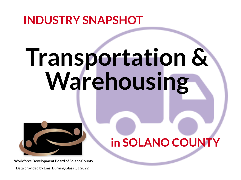# **INDUSTRY SNAPSHOT**

# **Transportation & Warehousing**

## **in SOLANO COUNTY**

Data provided by Emsi Burning Glass Q1 2022



**Workforce Development Board of Solano County**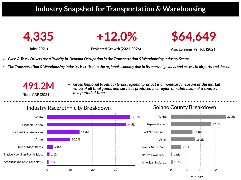

## **Industry Snapshot for Transportation & Warehousing**





**Jobs (2021) Projected Growth (2021-2026) Avg. Earnings Per Job (2021)**



Total GRP (2021)

- *Class A Truck Drivers are a Priority In-Demand Occupation in the Transportation & Warehousing Industry Sector*
- The Transportation & Warehousing Industry is critical to the regional economy due to its many highways and access to airports and docks.

*Gross Regional Product - Grossregional product is a monetary measure of the market value of all final goods and services produced in a region orsubdivision of a country*

*in a period of time.*